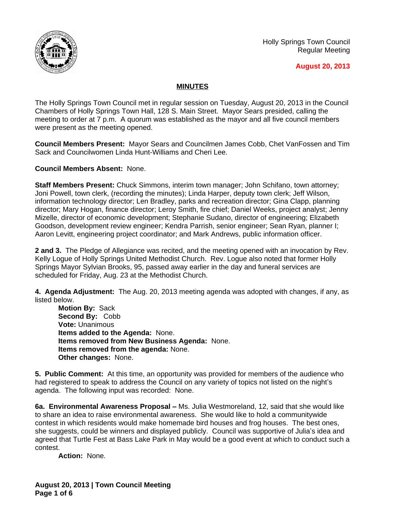

Holly Springs Town Council Regular Meeting

## **August 20, 2013**

## **MINUTES**

The Holly Springs Town Council met in regular session on Tuesday, August 20, 2013 in the Council Chambers of Holly Springs Town Hall, 128 S. Main Street. Mayor Sears presided, calling the meeting to order at 7 p.m. A quorum was established as the mayor and all five council members were present as the meeting opened.

**Council Members Present:** Mayor Sears and Councilmen James Cobb, Chet VanFossen and Tim Sack and Councilwomen Linda Hunt-Williams and Cheri Lee.

**Council Members Absent:** None.

**Staff Members Present:** Chuck Simmons, interim town manager; John Schifano, town attorney; Joni Powell, town clerk, (recording the minutes); Linda Harper, deputy town clerk; Jeff Wilson, information technology director; Len Bradley, parks and recreation director; Gina Clapp, planning director; Mary Hogan, finance director; Leroy Smith, fire chief; Daniel Weeks, project analyst; Jenny Mizelle, director of economic development; Stephanie Sudano, director of engineering; Elizabeth Goodson, development review engineer; Kendra Parrish, senior engineer; Sean Ryan, planner I; Aaron Levitt, engineering project coordinator; and Mark Andrews, public information officer.

**2 and 3.** The Pledge of Allegiance was recited, and the meeting opened with an invocation by Rev. Kelly Logue of Holly Springs United Methodist Church. Rev. Logue also noted that former Holly Springs Mayor Sylvian Brooks, 95, passed away earlier in the day and funeral services are scheduled for Friday, Aug. 23 at the Methodist Church.

**4. Agenda Adjustment:** The Aug. 20, 2013 meeting agenda was adopted with changes, if any, as listed below.

**Motion By:** Sack **Second By:** Cobb **Vote:** Unanimous **Items added to the Agenda:** None. **Items removed from New Business Agenda:** None. **Items removed from the agenda:** None. **Other changes:** None.

**5. Public Comment:** At this time, an opportunity was provided for members of the audience who had registered to speak to address the Council on any variety of topics not listed on the night's agenda. The following input was recorded: None.

**6a. Environmental Awareness Proposal –** Ms. Julia Westmoreland, 12, said that she would like to share an idea to raise environmental awareness. She would like to hold a communitywide contest in which residents would make homemade bird houses and frog houses. The best ones, she suggests, could be winners and displayed publicly. Council was supportive of Julia's idea and agreed that Turtle Fest at Bass Lake Park in May would be a good event at which to conduct such a contest.

**Action:** None*.*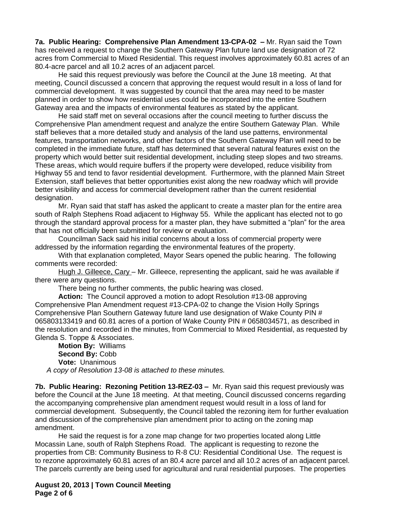**7a. Public Hearing: Comprehensive Plan Amendment 13-CPA-02 –** Mr. Ryan said the Town has received a request to change the Southern Gateway Plan future land use designation of 72 acres from Commercial to Mixed Residential. This request involves approximately 60.81 acres of an 80.4-acre parcel and all 10.2 acres of an adjacent parcel.

He said this request previously was before the Council at the June 18 meeting. At that meeting, Council discussed a concern that approving the request would result in a loss of land for commercial development. It was suggested by council that the area may need to be master planned in order to show how residential uses could be incorporated into the entire Southern Gateway area and the impacts of environmental features as stated by the applicant.

He said staff met on several occasions after the council meeting to further discuss the Comprehensive Plan amendment request and analyze the entire Southern Gateway Plan. While staff believes that a more detailed study and analysis of the land use patterns, environmental features, transportation networks, and other factors of the Southern Gateway Plan will need to be completed in the immediate future, staff has determined that several natural features exist on the property which would better suit residential development, including steep slopes and two streams. These areas, which would require buffers if the property were developed, reduce visibility from Highway 55 and tend to favor residential development. Furthermore, with the planned Main Street Extension, staff believes that better opportunities exist along the new roadway which will provide better visibility and access for commercial development rather than the current residential designation.

Mr. Ryan said that staff has asked the applicant to create a master plan for the entire area south of Ralph Stephens Road adjacent to Highway 55. While the applicant has elected not to go through the standard approval process for a master plan, they have submitted a "plan" for the area that has not officially been submitted for review or evaluation.

Councilman Sack said his initial concerns about a loss of commercial property were addressed by the information regarding the environmental features of the property.

With that explanation completed, Mayor Sears opened the public hearing. The following comments were recorded:

Hugh J. Gilleece, Cary – Mr. Gilleece, representing the applicant, said he was available if there were any questions.

There being no further comments, the public hearing was closed.

**Action:** The Council approved a motion to adopt Resolution #13-08 approving Comprehensive Plan Amendment request #13-CPA-02 to change the Vision Holly Springs Comprehensive Plan Southern Gateway future land use designation of Wake County PIN # 065803133419 and 60.81 acres of a portion of Wake County PIN # 0658034571, as described in the resolution and recorded in the minutes, from Commercial to Mixed Residential, as requested by Glenda S. Toppe & Associates.

**Motion By:** Williams **Second By:** Cobb **Vote:** Unanimous *A copy of Resolution 13-08 is attached to these minutes.*

**7b. Public Hearing: Rezoning Petition 13-REZ-03 – Mr. Ryan said this request previously was** before the Council at the June 18 meeting. At that meeting, Council discussed concerns regarding the accompanying comprehensive plan amendment request would result in a loss of land for commercial development. Subsequently, the Council tabled the rezoning item for further evaluation and discussion of the comprehensive plan amendment prior to acting on the zoning map amendment.

He said the request is for a zone map change for two properties located along Little Mocassin Lane, south of Ralph Stephens Road. The applicant is requesting to rezone the properties from CB: Community Business to R-8 CU: Residential Conditional Use. The request is to rezone approximately 60.81 acres of an 80.4 acre parcel and all 10.2 acres of an adjacent parcel. The parcels currently are being used for agricultural and rural residential purposes. The properties

**August 20, 2013 | Town Council Meeting Page 2 of 6**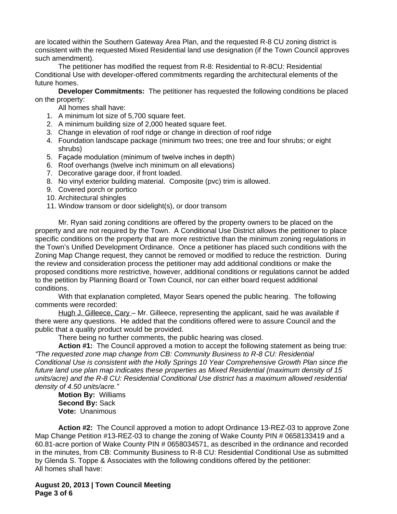are located within the Southern Gateway Area Plan, and the requested R-8 CU zoning district is consistent with the requested Mixed Residential land use designation (if the Town Council approves such amendment).

The petitioner has modified the request from R-8: Residential to R-8CU: Residential Conditional Use with developer-offered commitments regarding the architectural elements of the future homes.

**Developer Commitments:** The petitioner has requested the following conditions be placed on the property:

All homes shall have:

- 1. A minimum lot size of 5,700 square feet.
- 2. A minimum building size of 2,000 heated square feet.
- 3. Change in elevation of roof ridge or change in direction of roof ridge
- 4. Foundation landscape package (minimum two trees; one tree and four shrubs; or eight shrubs)
- 5. Façade modulation (minimum of twelve inches in depth)
- 6. Roof overhangs (twelve inch minimum on all elevations)
- 7. Decorative garage door, if front loaded.
- 8. No vinyl exterior building material. Composite (pvc) trim is allowed.
- 9. Covered porch or portico
- 10. Architectural shingles
- 11. Window transom or door sidelight(s), or door transom

Mr. Ryan said zoning conditions are offered by the property owners to be placed on the property and are not required by the Town. A Conditional Use District allows the petitioner to place specific conditions on the property that are more restrictive than the minimum zoning regulations in the Town's Unified Development Ordinance. Once a petitioner has placed such conditions with the Zoning Map Change request, they cannot be removed or modified to reduce the restriction. During the review and consideration process the petitioner may add additional conditions or make the proposed conditions more restrictive, however, additional conditions or regulations cannot be added to the petition by Planning Board or Town Council, nor can either board request additional conditions.

With that explanation completed, Mayor Sears opened the public hearing. The following comments were recorded:

Hugh J. Gilleece, Cary – Mr. Gilleece, representing the applicant, said he was available if there were any questions. He added that the conditions offered were to assure Council and the public that a quality product would be provided.

There being no further comments, the public hearing was closed.

**Action #1:** The Council approved a motion to accept the following statement as being true: *"The requested zone map change from CB: Community Business to R-8 CU: Residential Conditional Use is consistent with the Holly Springs 10 Year Comprehensive Growth Plan since the future land use plan map indicates these properties as Mixed Residential (maximum density of 15 units/acre) and the R-8 CU: Residential Conditional Use district has a maximum allowed residential density of 4.50 units/acre."*

**Motion By:** Williams **Second By:** Sack **Vote:** Unanimous

**Action #2:** The Council approved a motion to adopt Ordinance 13-REZ-03 to approve Zone Map Change Petition #13-REZ-03 to change the zoning of Wake County PIN # 0658133419 and a 60.81-acre portion of Wake County PIN # 0658034571, as described in the ordinance and recorded in the minutes, from CB: Community Business to R-8 CU: Residential Conditional Use as submitted by Glenda S. Toppe & Associates with the following conditions offered by the petitioner: All homes shall have:

**August 20, 2013 | Town Council Meeting Page 3 of 6**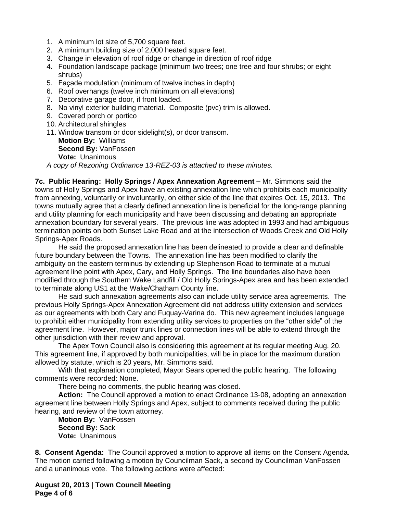- 1. A minimum lot size of 5,700 square feet.
- 2. A minimum building size of 2,000 heated square feet.
- 3. Change in elevation of roof ridge or change in direction of roof ridge
- 4. Foundation landscape package (minimum two trees; one tree and four shrubs; or eight shrubs)
- 5. Façade modulation (minimum of twelve inches in depth)
- 6. Roof overhangs (twelve inch minimum on all elevations)
- 7. Decorative garage door, if front loaded.
- 8. No vinyl exterior building material. Composite (pvc) trim is allowed.
- 9. Covered porch or portico
- 10. Architectural shingles
- 11. Window transom or door sidelight(s), or door transom. **Motion By:** Williams **Second By:** VanFossen **Vote:** Unanimous

*A copy of Rezoning Ordinance 13-REZ-03 is attached to these minutes.*

**7c. Public Hearing: Holly Springs / Apex Annexation Agreement - Mr. Simmons said the** towns of Holly Springs and Apex have an existing annexation line which prohibits each municipality from annexing, voluntarily or involuntarily, on either side of the line that expires Oct. 15, 2013. The towns mutually agree that a clearly defined annexation line is beneficial for the long-range planning and utility planning for each municipality and have been discussing and debating an appropriate annexation boundary for several years. The previous line was adopted in 1993 and had ambiguous termination points on both Sunset Lake Road and at the intersection of Woods Creek and Old Holly Springs-Apex Roads.

He said the proposed annexation line has been delineated to provide a clear and definable future boundary between the Towns. The annexation line has been modified to clarify the ambiguity on the eastern terminus by extending up Stephenson Road to terminate at a mutual agreement line point with Apex, Cary, and Holly Springs. The line boundaries also have been modified through the Southern Wake Landfill / Old Holly Springs-Apex area and has been extended to terminate along US1 at the Wake/Chatham County line.

He said such annexation agreements also can include utility service area agreements. The previous Holly Springs-Apex Annexation Agreement did not address utility extension and services as our agreements with both Cary and Fuquay-Varina do. This new agreement includes language to prohibit either municipality from extending utility services to properties on the "other side" of the agreement line. However, major trunk lines or connection lines will be able to extend through the other jurisdiction with their review and approval.

The Apex Town Council also is considering this agreement at its regular meeting Aug. 20. This agreement line, if approved by both municipalities, will be in place for the maximum duration allowed by statute, which is 20 years, Mr. Simmons said.

With that explanation completed, Mayor Sears opened the public hearing. The following comments were recorded: None.

There being no comments, the public hearing was closed.

**Action:** The Council approved a motion to enact Ordinance 13-08, adopting an annexation agreement line between Holly Springs and Apex, subject to comments received during the public hearing, and review of the town attorney.

**Motion By:** VanFossen **Second By:** Sack **Vote:** Unanimous

**8. Consent Agenda:** The Council approved a motion to approve all items on the Consent Agenda. The motion carried following a motion by Councilman Sack, a second by Councilman VanFossen and a unanimous vote. The following actions were affected:

**August 20, 2013 | Town Council Meeting Page 4 of 6**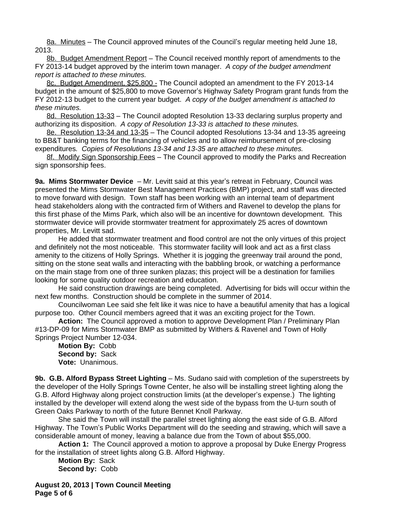8a. Minutes – The Council approved minutes of the Council's regular meeting held June 18, 2013.

8b. Budget Amendment Report – The Council received monthly report of amendments to the FY 2013-14 budget approved by the interim town manager. *A copy of the budget amendment report is attached to these minutes.*

8c. Budget Amendment, \$25,800 - The Council adopted an amendment to the FY 2013-14 budget in the amount of \$25,800 to move Governor's Highway Safety Program grant funds from the FY 2012-13 budget to the current year budget. *A copy of the budget amendment is attached to these minutes.*

8d. Resolution 13-33 – The Council adopted Resolution 13-33 declaring surplus property and authorizing its disposition. *A copy of Resolution 13-33 is attached to these minutes.*

8e. Resolution 13-34 and 13-35 – The Council adopted Resolutions 13-34 and 13-35 agreeing to BB&T banking terms for the financing of vehicles and to allow reimbursement of pre-closing expenditures*. Copies of Resolutions 13-34 and 13-35 are attached to these minutes.*

8f. Modify Sign Sponsorship Fees - The Council approved to modify the Parks and Recreation sign sponsorship fees.

**9a. Mims Stormwater Device** – Mr. Levitt said at this year's retreat in February, Council was presented the Mims Stormwater Best Management Practices (BMP) project, and staff was directed to move forward with design. Town staff has been working with an internal team of department head stakeholders along with the contracted firm of Withers and Ravenel to develop the plans for this first phase of the Mims Park, which also will be an incentive for downtown development. This stormwater device will provide stormwater treatment for approximately 25 acres of downtown properties, Mr. Levitt sad.

He added that stormwater treatment and flood control are not the only virtues of this project and definitely not the most noticeable. This stormwater facility will look and act as a first class amenity to the citizens of Holly Springs. Whether it is jogging the greenway trail around the pond, sitting on the stone seat walls and interacting with the babbling brook, or watching a performance on the main stage from one of three sunken plazas; this project will be a destination for families looking for some quality outdoor recreation and education.

He said construction drawings are being completed. Advertising for bids will occur within the next few months. Construction should be complete in the summer of 2014.

Councilwoman Lee said she felt like it was nice to have a beautiful amenity that has a logical purpose too. Other Council members agreed that it was an exciting project for the Town.

**Action:** The Council approved a motion to approve Development Plan / Preliminary Plan #13-DP-09 for Mims Stormwater BMP as submitted by Withers & Ravenel and Town of Holly Springs Project Number 12-034.

**Motion By:** Cobb **Second by:** Sack **Vote:** Unanimous.

**9b. G.B. Alford Bypass Street Lighting** – Ms. Sudano said with completion of the superstreets by the developer of the Holly Springs Towne Center, he also will be installing street lighting along the G.B. Alford Highway along project construction limits (at the developer's expense.) The lighting installed by the developer will extend along the west side of the bypass from the U-turn south of Green Oaks Parkway to north of the future Bennet Knoll Parkway.

She said the Town will install the parallel street lighting along the east side of G.B. Alford Highway. The Town's Public Works Department will do the seeding and strawing, which will save a considerable amount of money, leaving a balance due from the Town of about \$55,000.

**Action 1:** The Council approved a motion to approve a proposal by Duke Energy Progress for the installation of street lights along G.B. Alford Highway.

**Motion By:** Sack **Second by:** Cobb

**August 20, 2013 | Town Council Meeting Page 5 of 6**